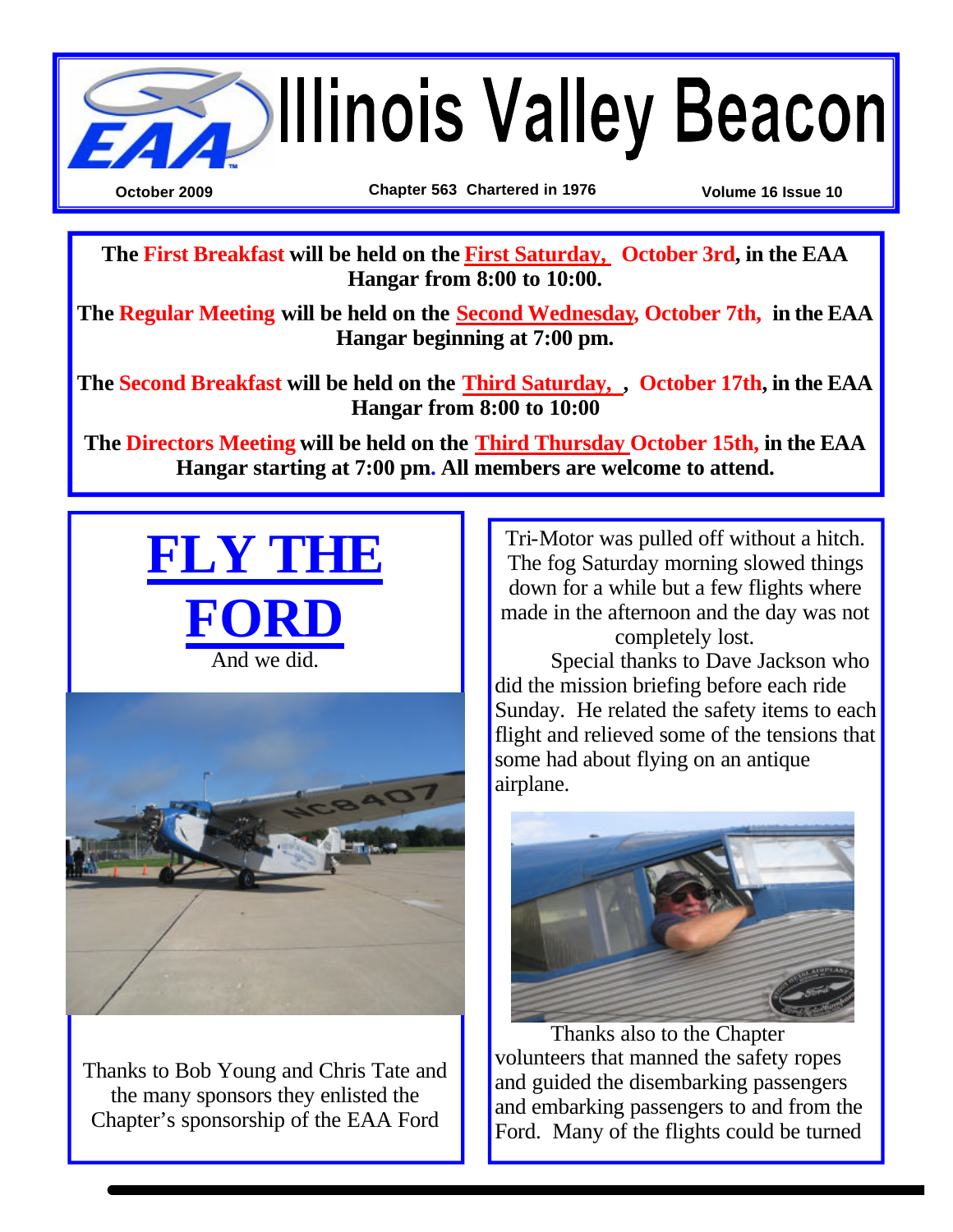

**The First Breakfast will be held on the First Saturday, October 3rd, in the EAA Hangar from 8:00 to 10:00.**

**The Regular Meeting will be held on the Second Wednesday, October 7th, in the EAA Hangar beginning at 7:00 pm.**

**The Second Breakfast will be held on the Third Saturday, , October 17th, in the EAA Hangar from 8:00 to 10:00** 

**The Directors Meeting will be held on the Third Thursday October 15th, in the EAA Hangar starting at 7:00 pm. All members are welcome to attend.** 





Thanks to Bob Young and Chris Tate and the many sponsors they enlisted the Chapter's sponsorship of the EAA Ford

Tri-Motor was pulled off without a hitch. The fog Saturday morning slowed things down for a while but a few flights where made in the afternoon and the day was not completely lost.

Special thanks to Dave Jackson who did the mission briefing before each ride Sunday. He related the safety items to each flight and relieved some of the tensions that some had about flying on an antique airplane.



Thanks also to the Chapter volunteers that manned the safety ropes and guided the disembarking passengers and embarking passengers to and from the Ford. Many of the flights could be turned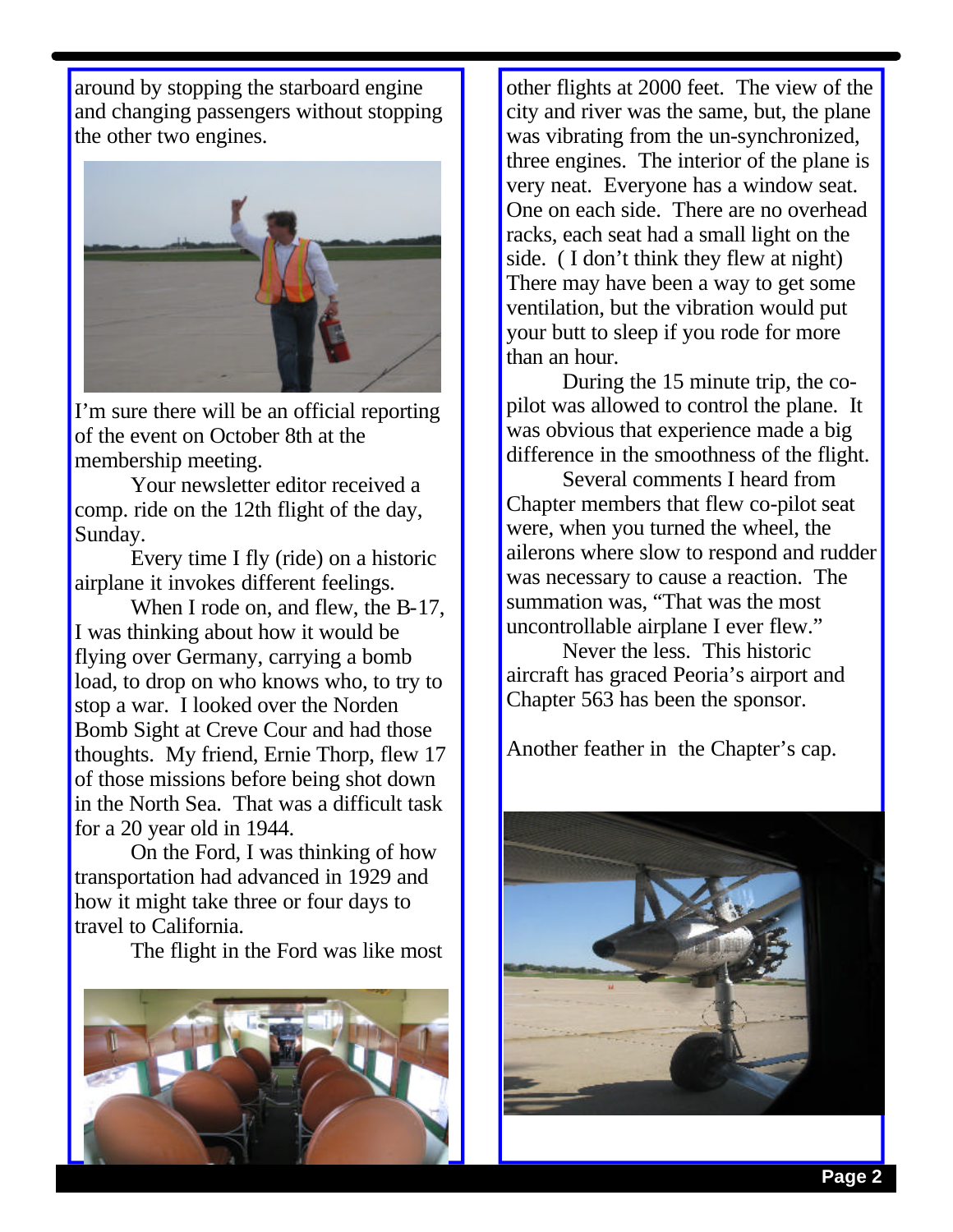around by stopping the starboard engine and changing passengers without stopping the other two engines.



I'm sure there will be an official reporting of the event on October 8th at the membership meeting.

Your newsletter editor received a comp. ride on the 12th flight of the day, Sunday.

Every time I fly (ride) on a historic airplane it invokes different feelings.

When I rode on, and flew, the B-17, I was thinking about how it would be flying over Germany, carrying a bomb load, to drop on who knows who, to try to stop a war. I looked over the Norden Bomb Sight at Creve Cour and had those thoughts. My friend, Ernie Thorp, flew 17 of those missions before being shot down in the North Sea. That was a difficult task for a 20 year old in 1944.

On the Ford, I was thinking of how transportation had advanced in 1929 and how it might take three or four days to travel to California.

The flight in the Ford was like most



other flights at 2000 feet. The view of the city and river was the same, but, the plane was vibrating from the un-synchronized, three engines. The interior of the plane is very neat. Everyone has a window seat. One on each side. There are no overhead racks, each seat had a small light on the side. ( I don't think they flew at night) There may have been a way to get some ventilation, but the vibration would put your butt to sleep if you rode for more than an hour.

During the 15 minute trip, the copilot was allowed to control the plane. It was obvious that experience made a big difference in the smoothness of the flight.

Several comments I heard from Chapter members that flew co-pilot seat were, when you turned the wheel, the ailerons where slow to respond and rudder was necessary to cause a reaction. The summation was, "That was the most uncontrollable airplane I ever flew."

Never the less. This historic aircraft has graced Peoria's airport and Chapter 563 has been the sponsor.

Another feather in the Chapter's cap.

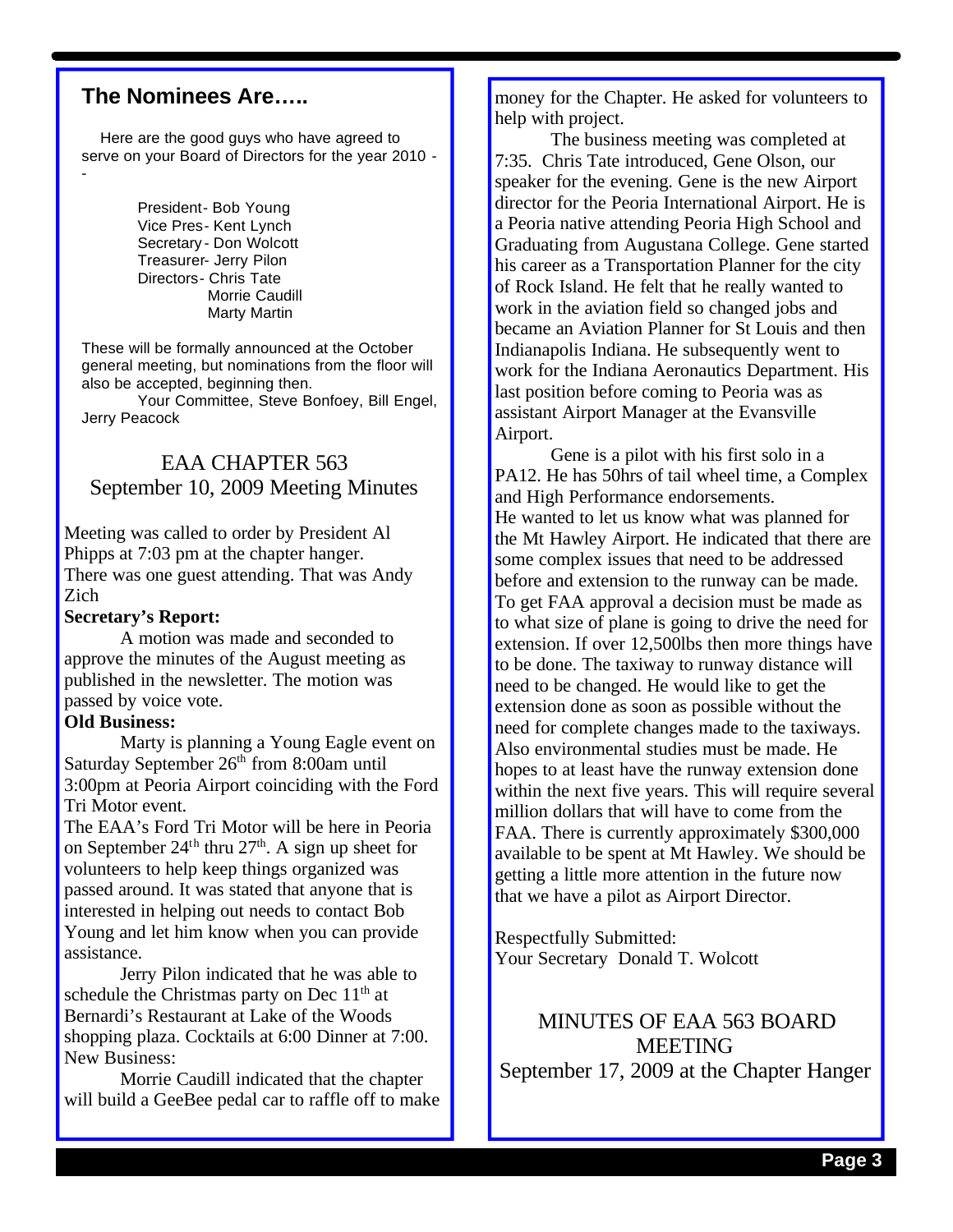### **The Nominees Are…..**

 Here are the good guys who have agreed to serve on your Board of Directors for the year 2010 - -

> President- Bob Young Vice Pres- Kent Lynch Secretary - Don Wolcott Treasurer- Jerry Pilon Directors- Chris Tate Morrie Caudill Marty Martin

These will be formally announced at the October general meeting, but nominations from the floor will also be accepted, beginning then.

Your Committee, Steve Bonfoey, Bill Engel, Jerry Peacock

## EAA CHAPTER 563 September 10, 2009 Meeting Minutes

Meeting was called to order by President Al Phipps at 7:03 pm at the chapter hanger. There was one guest attending. That was Andy Zich

#### **Secretary's Report:**

A motion was made and seconded to approve the minutes of the August meeting as published in the newsletter. The motion was passed by voice vote.

#### **Old Business:**

Marty is planning a Young Eagle event on Saturday September  $26<sup>th</sup>$  from 8:00am until 3:00pm at Peoria Airport coinciding with the Ford Tri Motor event.

The EAA's Ford Tri Motor will be here in Peoria on September  $24<sup>th</sup>$  thru  $27<sup>th</sup>$ . A sign up sheet for volunteers to help keep things organized was passed around. It was stated that anyone that is interested in helping out needs to contact Bob Young and let him know when you can provide assistance.

Jerry Pilon indicated that he was able to schedule the Christmas party on Dec  $11<sup>th</sup>$  at Bernardi's Restaurant at Lake of the Woods shopping plaza. Cocktails at 6:00 Dinner at 7:00. New Business:

Morrie Caudill indicated that the chapter will build a GeeBee pedal car to raffle off to make money for the Chapter. He asked for volunteers to help with project.

The business meeting was completed at 7:35. Chris Tate introduced, Gene Olson, our speaker for the evening. Gene is the new Airport director for the Peoria International Airport. He is a Peoria native attending Peoria High School and Graduating from Augustana College. Gene started his career as a Transportation Planner for the city of Rock Island. He felt that he really wanted to work in the aviation field so changed jobs and became an Aviation Planner for St Louis and then Indianapolis Indiana. He subsequently went to work for the Indiana Aeronautics Department. His last position before coming to Peoria was as assistant Airport Manager at the Evansville Airport.

Gene is a pilot with his first solo in a PA12. He has 50hrs of tail wheel time, a Complex and High Performance endorsements. He wanted to let us know what was planned for the Mt Hawley Airport. He indicated that there are some complex issues that need to be addressed before and extension to the runway can be made. To get FAA approval a decision must be made as to what size of plane is going to drive the need for extension. If over 12,500lbs then more things have to be done. The taxiway to runway distance will need to be changed. He would like to get the extension done as soon as possible without the need for complete changes made to the taxiways. Also environmental studies must be made. He hopes to at least have the runway extension done within the next five years. This will require several million dollars that will have to come from the FAA. There is currently approximately \$300,000 available to be spent at Mt Hawley. We should be getting a little more attention in the future now that we have a pilot as Airport Director.

Respectfully Submitted: Your Secretary Donald T. Wolcott

MINUTES OF EAA 563 BOARD **MEETING** September 17, 2009 at the Chapter Hanger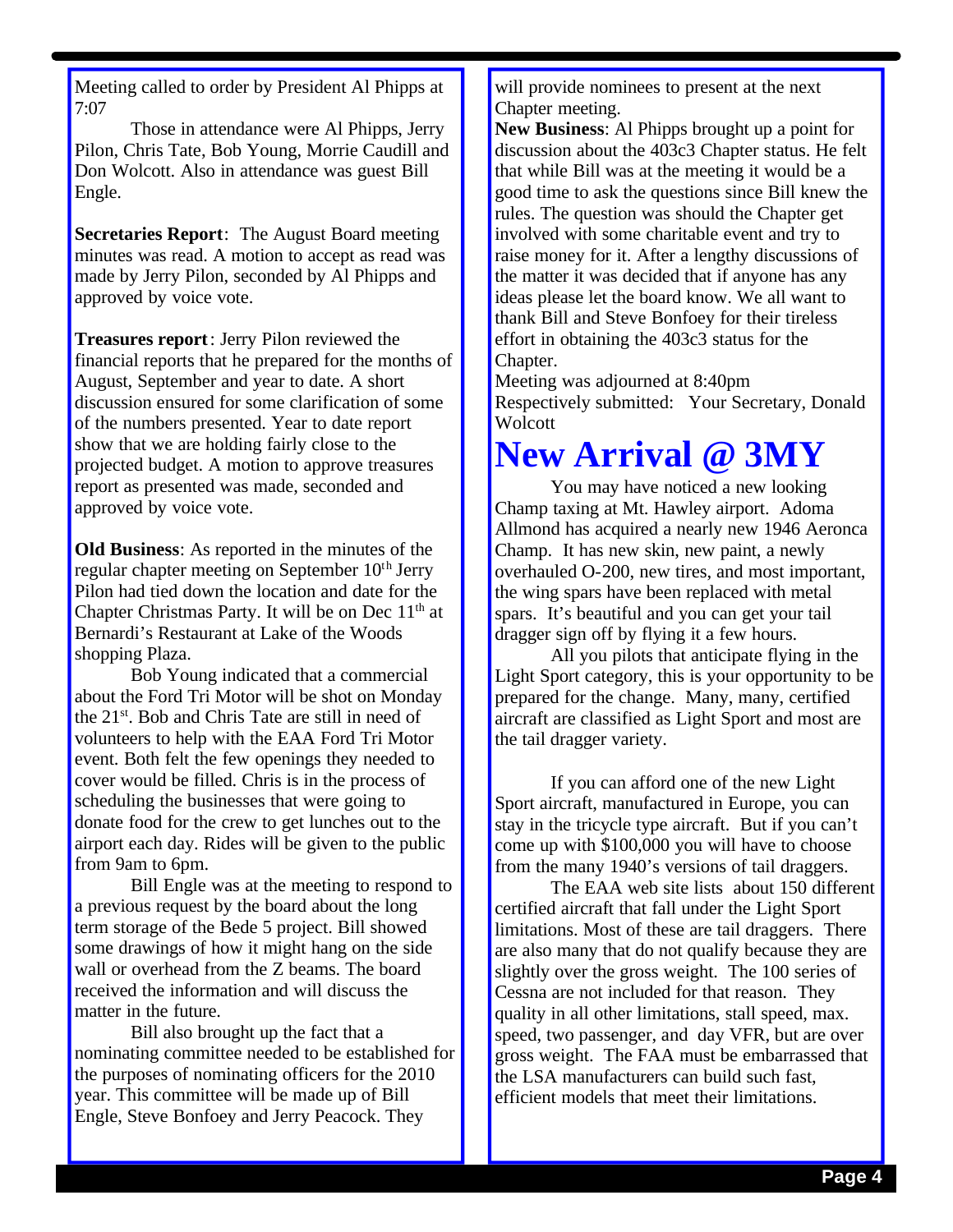Meeting called to order by President Al Phipps at 7:07

Those in attendance were Al Phipps, Jerry Pilon, Chris Tate, Bob Young, Morrie Caudill and Don Wolcott. Also in attendance was guest Bill Engle.

**Secretaries Report**: The August Board meeting minutes was read. A motion to accept as read was made by Jerry Pilon, seconded by Al Phipps and approved by voice vote.

**Treasures report**: Jerry Pilon reviewed the financial reports that he prepared for the months of August, September and year to date. A short discussion ensured for some clarification of some of the numbers presented. Year to date report show that we are holding fairly close to the projected budget. A motion to approve treasures report as presented was made, seconded and approved by voice vote.

**Old Business**: As reported in the minutes of the regular chapter meeting on September  $10<sup>th</sup>$  Jerry Pilon had tied down the location and date for the Chapter Christmas Party. It will be on Dec  $11<sup>th</sup>$  at Bernardi's Restaurant at Lake of the Woods shopping Plaza.

Bob Young indicated that a commercial about the Ford Tri Motor will be shot on Monday the 21st. Bob and Chris Tate are still in need of volunteers to help with the EAA Ford Tri Motor event. Both felt the few openings they needed to cover would be filled. Chris is in the process of scheduling the businesses that were going to donate food for the crew to get lunches out to the airport each day. Rides will be given to the public from 9am to 6pm.

Bill Engle was at the meeting to respond to a previous request by the board about the long term storage of the Bede 5 project. Bill showed some drawings of how it might hang on the side wall or overhead from the Z beams. The board received the information and will discuss the matter in the future.

Bill also brought up the fact that a nominating committee needed to be established for the purposes of nominating officers for the 2010 year. This committee will be made up of Bill Engle, Steve Bonfoey and Jerry Peacock. They

will provide nominees to present at the next Chapter meeting.

**New Business**: Al Phipps brought up a point for discussion about the 403c3 Chapter status. He felt that while Bill was at the meeting it would be a good time to ask the questions since Bill knew the rules. The question was should the Chapter get involved with some charitable event and try to raise money for it. After a lengthy discussions of the matter it was decided that if anyone has any ideas please let the board know. We all want to thank Bill and Steve Bonfoey for their tireless effort in obtaining the 403c3 status for the Chapter.

Meeting was adjourned at 8:40pm Respectively submitted: Your Secretary, Donald **Wolcott** 

# **New Arrival @ 3MY**

You may have noticed a new looking Champ taxing at Mt. Hawley airport. Adoma Allmond has acquired a nearly new 1946 Aeronca Champ. It has new skin, new paint, a newly overhauled O-200, new tires, and most important, the wing spars have been replaced with metal spars. It's beautiful and you can get your tail dragger sign off by flying it a few hours.

All you pilots that anticipate flying in the Light Sport category, this is your opportunity to be prepared for the change. Many, many, certified aircraft are classified as Light Sport and most are the tail dragger variety.

If you can afford one of the new Light Sport aircraft, manufactured in Europe, you can stay in the tricycle type aircraft. But if you can't come up with \$100,000 you will have to choose from the many 1940's versions of tail draggers.

The EAA web site lists about 150 different certified aircraft that fall under the Light Sport limitations. Most of these are tail draggers. There are also many that do not qualify because they are slightly over the gross weight. The 100 series of Cessna are not included for that reason. They quality in all other limitations, stall speed, max. speed, two passenger, and day VFR, but are over gross weight. The FAA must be embarrassed that the LSA manufacturers can build such fast, efficient models that meet their limitations.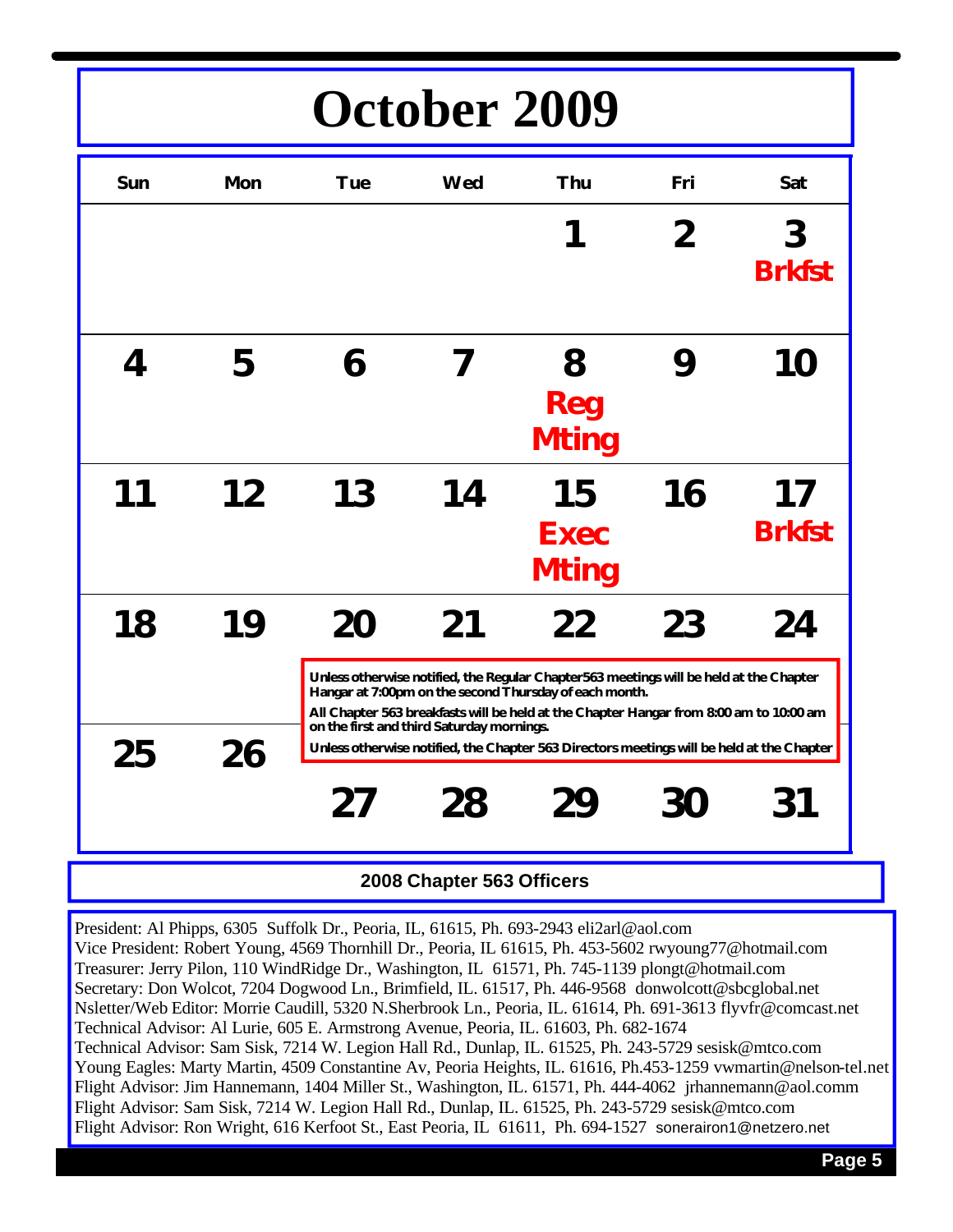# **October 2009**

| Sun | Mon | <b>Tue</b>                                                                                | Wed                                       | Thu                                                                                                                                              | Fri | Sat                 |
|-----|-----|-------------------------------------------------------------------------------------------|-------------------------------------------|--------------------------------------------------------------------------------------------------------------------------------------------------|-----|---------------------|
|     |     |                                                                                           |                                           |                                                                                                                                                  | 2   | 3<br><b>Brkfst</b>  |
| 4   | 5   | 6                                                                                         |                                           | 8<br>Reg<br><b>Mting</b>                                                                                                                         | 9   | 10                  |
| 11  | 12  | 13                                                                                        | 14                                        | 15<br><b>Exec</b><br><b>Mting</b>                                                                                                                | 16  | 17<br><b>Brkfst</b> |
| 18  | 19  | 20                                                                                        | 21                                        | 22<br>Unless otherwise notified, the Regular Chapter563 meetings will be held at the Chapter                                                     | 23  | 24                  |
|     |     |                                                                                           | on the first and third Saturday mornings. | Hangar at 7:00pm on the second Thursday of each month.<br>All Chapter 563 breakfasts will be held at the Chapter Hangar from 8:00 am to 10:00 am |     |                     |
| 25  | 26  | Unless otherwise notified, the Chapter 563 Directors meetings will be held at the Chapter |                                           |                                                                                                                                                  |     |                     |
|     |     | 27                                                                                        | 28                                        | 29                                                                                                                                               | 30  | 31                  |

### **2008 Chapter 563 Officers**

President: Al Phipps, 6305 Suffolk Dr., Peoria, IL, 61615, Ph. 693-2943 eli2arl@aol.com Vice President: Robert Young, 4569 Thornhill Dr., Peoria, IL 61615, Ph. 453-5602 rwyoung77@hotmail.com Treasurer: Jerry Pilon, 110 WindRidge Dr., Washington, IL 61571, Ph. 745-1139 plongt@hotmail.com Secretary: Don Wolcot, 7204 Dogwood Ln., Brimfield, IL. 61517, Ph. 446-9568 donwolcott@sbcglobal.net Nsletter/Web Editor: Morrie Caudill, 5320 N.Sherbrook Ln., Peoria, IL. 61614, Ph. 691-3613 flyvfr@comcast.net Technical Advisor: Al Lurie, 605 E. Armstrong Avenue, Peoria, IL. 61603, Ph. 682-1674 Technical Advisor: Sam Sisk, 7214 W. Legion Hall Rd., Dunlap, IL. 61525, Ph. 243-5729 sesisk@mtco.com Young Eagles: Marty Martin, 4509 Constantine Av, Peoria Heights, IL. 61616, Ph.453-1259 vwmartin@nelson-tel.net Flight Advisor: Jim Hannemann, 1404 Miller St., Washington, IL. 61571, Ph. 444-4062 jrhannemann@aol.comm Flight Advisor: Sam Sisk, 7214 W. Legion Hall Rd., Dunlap, IL. 61525, Ph. 243-5729 sesisk@mtco.com Flight Advisor: Ron Wright, 616 Kerfoot St., East Peoria, IL 61611, Ph. 694-1527 sonerairon1@netzero.net